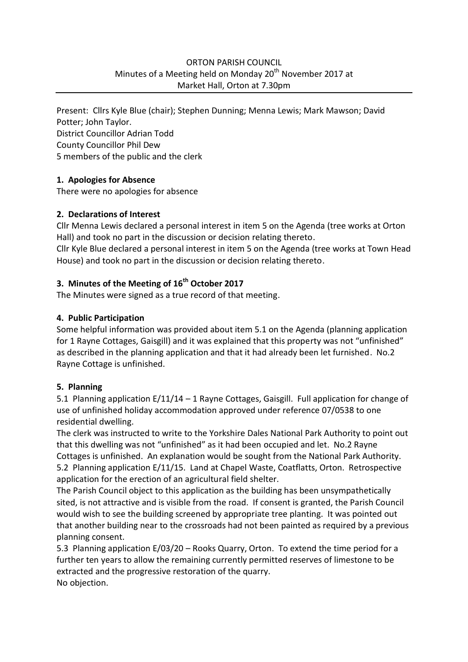#### ORTON PARISH COUNCIL Minutes of a Meeting held on Monday  $20<sup>th</sup>$  November 2017 at Market Hall, Orton at 7.30pm

Present: Cllrs Kyle Blue (chair); Stephen Dunning; Menna Lewis; Mark Mawson; David Potter; John Taylor. District Councillor Adrian Todd County Councillor Phil Dew 5 members of the public and the clerk

#### **1. Apologies for Absence**

There were no apologies for absence

#### **2. Declarations of Interest**

Cllr Menna Lewis declared a personal interest in item 5 on the Agenda (tree works at Orton Hall) and took no part in the discussion or decision relating thereto.

Cllr Kyle Blue declared a personal interest in item 5 on the Agenda (tree works at Town Head House) and took no part in the discussion or decision relating thereto.

# **3. Minutes of the Meeting of 16th October 2017**

The Minutes were signed as a true record of that meeting.

## **4. Public Participation**

Some helpful information was provided about item 5.1 on the Agenda (planning application for 1 Rayne Cottages, Gaisgill) and it was explained that this property was not "unfinished" as described in the planning application and that it had already been let furnished. No.2 Rayne Cottage is unfinished.

#### **5. Planning**

5.1 Planning application E/11/14 – 1 Rayne Cottages, Gaisgill. Full application for change of use of unfinished holiday accommodation approved under reference 07/0538 to one residential dwelling.

The clerk was instructed to write to the Yorkshire Dales National Park Authority to point out that this dwelling was not "unfinished" as it had been occupied and let. No.2 Rayne Cottages is unfinished. An explanation would be sought from the National Park Authority. 5.2 Planning application E/11/15. Land at Chapel Waste, Coatflatts, Orton. Retrospective application for the erection of an agricultural field shelter.

The Parish Council object to this application as the building has been unsympathetically sited, is not attractive and is visible from the road. If consent is granted, the Parish Council would wish to see the building screened by appropriate tree planting. It was pointed out that another building near to the crossroads had not been painted as required by a previous planning consent.

5.3 Planning application E/03/20 – Rooks Quarry, Orton. To extend the time period for a further ten years to allow the remaining currently permitted reserves of limestone to be extracted and the progressive restoration of the quarry. No objection.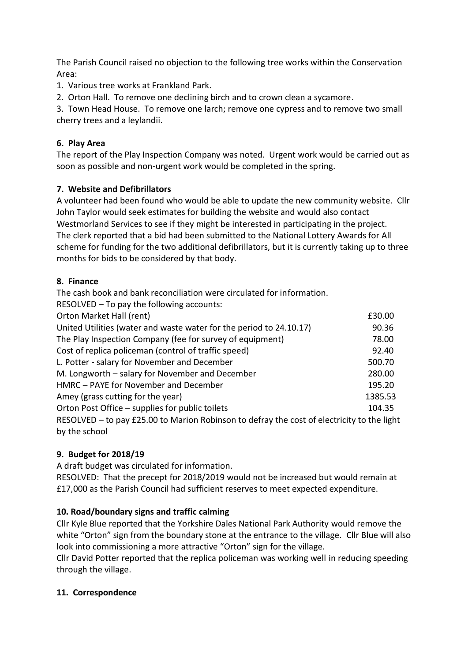The Parish Council raised no objection to the following tree works within the Conservation Area:

1. Various tree works at Frankland Park.

2. Orton Hall. To remove one declining birch and to crown clean a sycamore.

3. Town Head House. To remove one larch; remove one cypress and to remove two small cherry trees and a leylandii.

## **6. Play Area**

The report of the Play Inspection Company was noted. Urgent work would be carried out as soon as possible and non-urgent work would be completed in the spring.

#### **7. Website and Defibrillators**

A volunteer had been found who would be able to update the new community website. Cllr John Taylor would seek estimates for building the website and would also contact Westmorland Services to see if they might be interested in participating in the project. The clerk reported that a bid had been submitted to the National Lottery Awards for All scheme for funding for the two additional defibrillators, but it is currently taking up to three months for bids to be considered by that body.

#### **8. Finance**

The cash book and bank reconciliation were circulated for information.

| RESOLVED - To pay the following accounts:                                                  |         |
|--------------------------------------------------------------------------------------------|---------|
| Orton Market Hall (rent)                                                                   | £30.00  |
| United Utilities (water and waste water for the period to 24.10.17)                        | 90.36   |
| The Play Inspection Company (fee for survey of equipment)                                  | 78.00   |
| Cost of replica policeman (control of traffic speed)                                       | 92.40   |
| L. Potter - salary for November and December                                               | 500.70  |
| M. Longworth - salary for November and December                                            | 280.00  |
| HMRC - PAYE for November and December                                                      | 195.20  |
| Amey (grass cutting for the year)                                                          | 1385.53 |
| Orton Post Office - supplies for public toilets                                            | 104.35  |
| RESOLVED - to pay £25.00 to Marion Robinson to defray the cost of electricity to the light |         |
| by the school                                                                              |         |

## **9. Budget for 2018/19**

A draft budget was circulated for information.

RESOLVED: That the precept for 2018/2019 would not be increased but would remain at £17,000 as the Parish Council had sufficient reserves to meet expected expenditure.

## **10. Road/boundary signs and traffic calming**

Cllr Kyle Blue reported that the Yorkshire Dales National Park Authority would remove the white "Orton" sign from the boundary stone at the entrance to the village. Cllr Blue will also look into commissioning a more attractive "Orton" sign for the village.

Cllr David Potter reported that the replica policeman was working well in reducing speeding through the village.

#### **11. Correspondence**